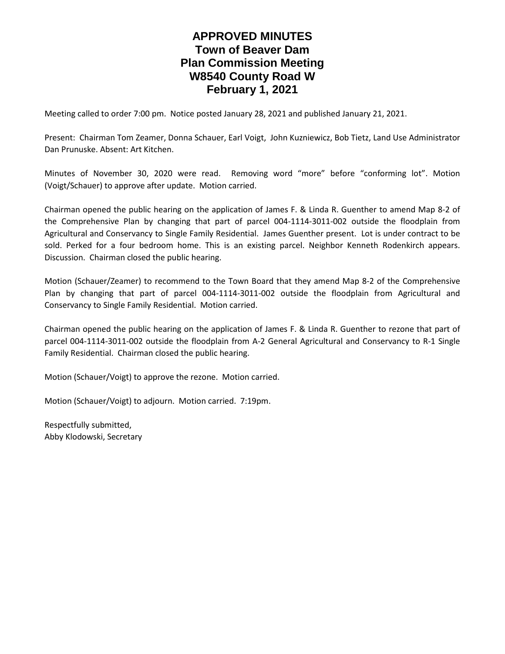# **APPROVED MINUTES Town of Beaver Dam Plan Commission Meeting W8540 County Road W February 1, 2021**

Meeting called to order 7:00 pm. Notice posted January 28, 2021 and published January 21, 2021.

Present: Chairman Tom Zeamer, Donna Schauer, Earl Voigt, John Kuzniewicz, Bob Tietz, Land Use Administrator Dan Prunuske. Absent: Art Kitchen.

Minutes of November 30, 2020 were read. Removing word "more" before "conforming lot". Motion (Voigt/Schauer) to approve after update. Motion carried.

Chairman opened the public hearing on the application of James F. & Linda R. Guenther to amend Map 8-2 of the Comprehensive Plan by changing that part of parcel 004-1114-3011-002 outside the floodplain from Agricultural and Conservancy to Single Family Residential. James Guenther present. Lot is under contract to be sold. Perked for a four bedroom home. This is an existing parcel. Neighbor Kenneth Rodenkirch appears. Discussion. Chairman closed the public hearing.

Motion (Schauer/Zeamer) to recommend to the Town Board that they amend Map 8-2 of the Comprehensive Plan by changing that part of parcel 004-1114-3011-002 outside the floodplain from Agricultural and Conservancy to Single Family Residential. Motion carried.

Chairman opened the public hearing on the application of James F. & Linda R. Guenther to rezone that part of parcel 004-1114-3011-002 outside the floodplain from A-2 General Agricultural and Conservancy to R-1 Single Family Residential. Chairman closed the public hearing.

Motion (Schauer/Voigt) to approve the rezone. Motion carried.

Motion (Schauer/Voigt) to adjourn. Motion carried. 7:19pm.

Respectfully submitted, Abby Klodowski, Secretary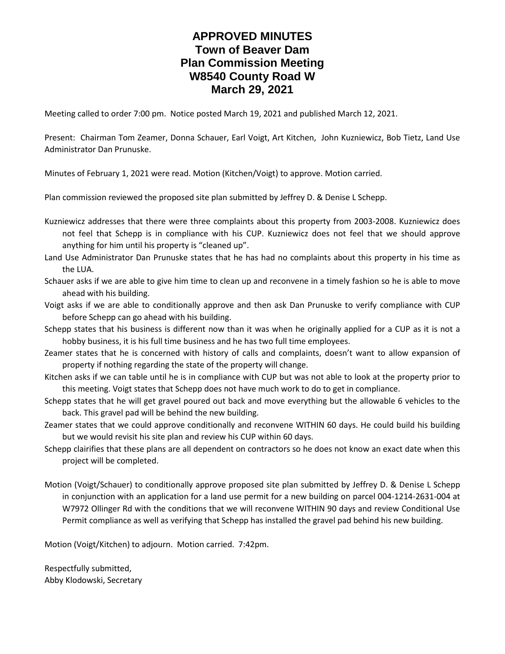# **APPROVED MINUTES Town of Beaver Dam Plan Commission Meeting W8540 County Road W March 29, 2021**

Meeting called to order 7:00 pm. Notice posted March 19, 2021 and published March 12, 2021.

Present: Chairman Tom Zeamer, Donna Schauer, Earl Voigt, Art Kitchen, John Kuzniewicz, Bob Tietz, Land Use Administrator Dan Prunuske.

Minutes of February 1, 2021 were read. Motion (Kitchen/Voigt) to approve. Motion carried.

Plan commission reviewed the proposed site plan submitted by Jeffrey D. & Denise L Schepp.

Kuzniewicz addresses that there were three complaints about this property from 2003-2008. Kuzniewicz does not feel that Schepp is in compliance with his CUP. Kuzniewicz does not feel that we should approve anything for him until his property is "cleaned up".

Land Use Administrator Dan Prunuske states that he has had no complaints about this property in his time as the LUA.

Schauer asks if we are able to give him time to clean up and reconvene in a timely fashion so he is able to move ahead with his building.

Voigt asks if we are able to conditionally approve and then ask Dan Prunuske to verify compliance with CUP before Schepp can go ahead with his building.

Schepp states that his business is different now than it was when he originally applied for a CUP as it is not a hobby business, it is his full time business and he has two full time employees.

Zeamer states that he is concerned with history of calls and complaints, doesn't want to allow expansion of property if nothing regarding the state of the property will change.

Kitchen asks if we can table until he is in compliance with CUP but was not able to look at the property prior to this meeting. Voigt states that Schepp does not have much work to do to get in compliance.

Schepp states that he will get gravel poured out back and move everything but the allowable 6 vehicles to the back. This gravel pad will be behind the new building.

Zeamer states that we could approve conditionally and reconvene WITHIN 60 days. He could build his building but we would revisit his site plan and review his CUP within 60 days.

Schepp clairifies that these plans are all dependent on contractors so he does not know an exact date when this project will be completed.

Motion (Voigt/Schauer) to conditionally approve proposed site plan submitted by Jeffrey D. & Denise L Schepp in conjunction with an application for a land use permit for a new building on parcel 004-1214-2631-004 at W7972 Ollinger Rd with the conditions that we will reconvene WITHIN 90 days and review Conditional Use Permit compliance as well as verifying that Schepp has installed the gravel pad behind his new building.

Motion (Voigt/Kitchen) to adjourn. Motion carried. 7:42pm.

Respectfully submitted, Abby Klodowski, Secretary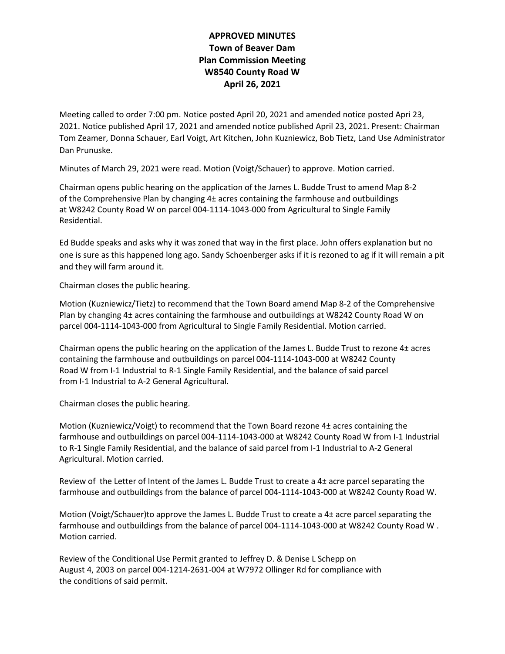## **APPROVED MINUTES Town of Beaver Dam Plan Commission Meeting W8540 County Road W April 26, 2021**

Meeting called to order 7:00 pm. Notice posted April 20, 2021 and amended notice posted Apri 23, 2021. Notice published April 17, 2021 and amended notice published April 23, 2021. Present: Chairman Tom Zeamer, Donna Schauer, Earl Voigt, Art Kitchen, John Kuzniewicz, Bob Tietz, Land Use Administrator Dan Prunuske.

Minutes of March 29, 2021 were read. Motion (Voigt/Schauer) to approve. Motion carried.

Chairman opens public hearing on the application of the James L. Budde Trust to amend Map 8-2 of the Comprehensive Plan by changing 4± acres containing the farmhouse and outbuildings at W8242 County Road W on parcel 004-1114-1043-000 from Agricultural to Single Family Residential.

Ed Budde speaks and asks why it was zoned that way in the first place. John offers explanation but no one is sure as this happened long ago. Sandy Schoenberger asks if it is rezoned to ag if it will remain a pit and they will farm around it.

Chairman closes the public hearing.

Motion (Kuzniewicz/Tietz) to recommend that the Town Board amend Map 8-2 of the Comprehensive Plan by changing 4± acres containing the farmhouse and outbuildings at W8242 County Road W on parcel 004-1114-1043-000 from Agricultural to Single Family Residential. Motion carried.

Chairman opens the public hearing on the application of the James L. Budde Trust to rezone 4± acres containing the farmhouse and outbuildings on parcel 004-1114-1043-000 at W8242 County Road W from I-1 Industrial to R-1 Single Family Residential, and the balance of said parcel from I-1 Industrial to A-2 General Agricultural.

Chairman closes the public hearing.

Motion (Kuzniewicz/Voigt) to recommend that the Town Board rezone 4± acres containing the farmhouse and outbuildings on parcel 004-1114-1043-000 at W8242 County Road W from I-1 Industrial to R-1 Single Family Residential, and the balance of said parcel from I-1 Industrial to A-2 General Agricultural. Motion carried.

Review of the Letter of Intent of the James L. Budde Trust to create a 4± acre parcel separating the farmhouse and outbuildings from the balance of parcel 004-1114-1043-000 at W8242 County Road W.

Motion (Voigt/Schauer)to approve the James L. Budde Trust to create a 4± acre parcel separating the farmhouse and outbuildings from the balance of parcel 004-1114-1043-000 at W8242 County Road W . Motion carried.

Review of the Conditional Use Permit granted to Jeffrey D. & Denise L Schepp on August 4, 2003 on parcel 004-1214-2631-004 at W7972 Ollinger Rd for compliance with the conditions of said permit.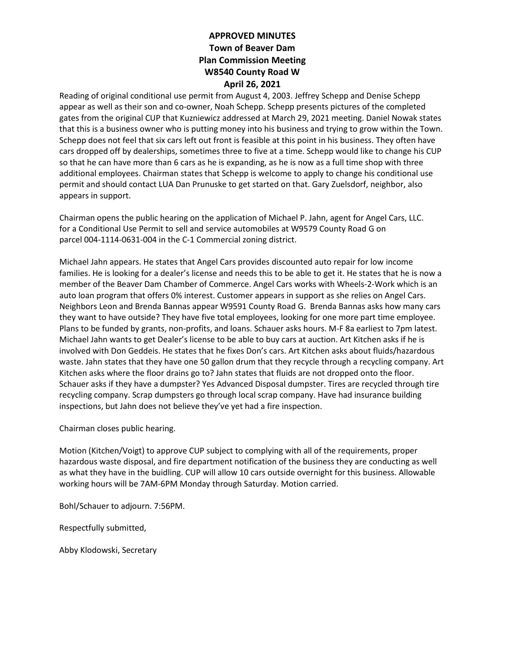## **APPROVED MINUTES Town of Beaver Dam Plan Commission Meeting W8540 County Road W April 26, 2021**

Reading of original conditional use permit from August 4, 2003. Jeffrey Schepp and Denise Schepp appear as well as their son and co-owner, Noah Schepp. Schepp presents pictures of the completed gates from the original CUP that Kuzniewicz addressed at March 29, 2021 meeting. Daniel Nowak states that this is a business owner who is putting money into his business and trying to grow within the Town. Schepp does not feel that six cars left out front is feasible at this point in his business. They often have cars dropped off by dealerships, sometimes three to five at a time. Schepp would like to change his CUP so that he can have more than 6 cars as he is expanding, as he is now as a full time shop with three additional employees. Chairman states that Schepp is welcome to apply to change his conditional use permit and should contact LUA Dan Prunuske to get started on that. Gary Zuelsdorf, neighbor, also appears in support.

Chairman opens the public hearing on the application of Michael P. Jahn, agent for Angel Cars, LLC. for a Conditional Use Permit to sell and service automobiles at W9579 County Road G on parcel 004-1114-0631-004 in the C-1 Commercial zoning district.

Michael Jahn appears. He states that Angel Cars provides discounted auto repair for low income families. He is looking for a dealer's license and needs this to be able to get it. He states that he is now a member of the Beaver Dam Chamber of Commerce. Angel Cars works with Wheels-2-Work which is an auto loan program that offers 0% interest. Customer appears in support as she relies on Angel Cars. Neighbors Leon and Brenda Bannas appear W9591 County Road G. Brenda Bannas asks how many cars they want to have outside? They have five total employees, looking for one more part time employee. Plans to be funded by grants, non-profits, and loans. Schauer asks hours. M-F 8a earliest to 7pm latest. Michael Jahn wants to get Dealer's license to be able to buy cars at auction. Art Kitchen asks if he is involved with Don Geddeis. He states that he fixes Don's cars. Art Kitchen asks about fluids/hazardous waste. Jahn states that they have one 50 gallon drum that they recycle through a recycling company. Art Kitchen asks where the floor drains go to? Jahn states that fluids are not dropped onto the floor. Schauer asks if they have a dumpster? Yes Advanced Disposal dumpster. Tires are recycled through tire recycling company. Scrap dumpsters go through local scrap company. Have had insurance building inspections, but Jahn does not believe they've yet had a fire inspection.

Chairman closes public hearing.

Motion (Kitchen/Voigt) to approve CUP subject to complying with all of the requirements, proper hazardous waste disposal, and fire department notification of the business they are conducting as well as what they have in the buidling. CUP will allow 10 cars outside overnight for this business. Allowable working hours will be 7AM-6PM Monday through Saturday. Motion carried.

Bohl/Schauer to adjourn. 7:56PM.

Respectfully submitted,

Abby Klodowski, Secretary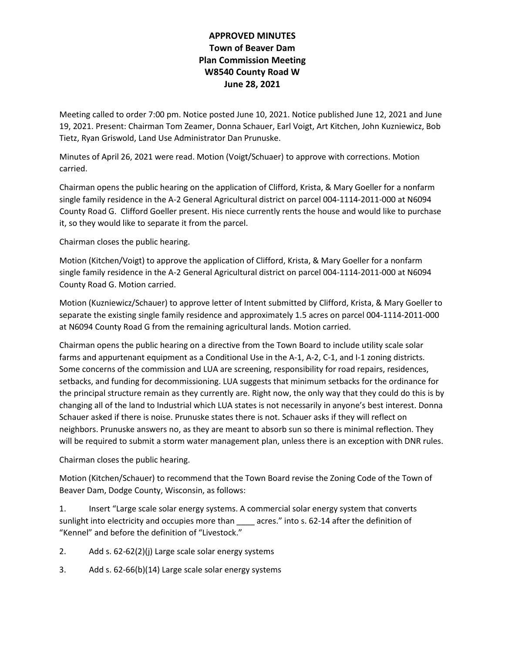## **APPROVED MINUTES Town of Beaver Dam Plan Commission Meeting W8540 County Road W June 28, 2021**

Meeting called to order 7:00 pm. Notice posted June 10, 2021. Notice published June 12, 2021 and June 19, 2021. Present: Chairman Tom Zeamer, Donna Schauer, Earl Voigt, Art Kitchen, John Kuzniewicz, Bob Tietz, Ryan Griswold, Land Use Administrator Dan Prunuske.

Minutes of April 26, 2021 were read. Motion (Voigt/Schuaer) to approve with corrections. Motion carried.

Chairman opens the public hearing on the application of Clifford, Krista, & Mary Goeller for a nonfarm single family residence in the A-2 General Agricultural district on parcel 004-1114-2011-000 at N6094 County Road G. Clifford Goeller present. His niece currently rents the house and would like to purchase it, so they would like to separate it from the parcel.

Chairman closes the public hearing.

Motion (Kitchen/Voigt) to approve the application of Clifford, Krista, & Mary Goeller for a nonfarm single family residence in the A-2 General Agricultural district on parcel 004-1114-2011-000 at N6094 County Road G. Motion carried.

Motion (Kuzniewicz/Schauer) to approve letter of Intent submitted by Clifford, Krista, & Mary Goeller to separate the existing single family residence and approximately 1.5 acres on parcel 004-1114-2011-000 at N6094 County Road G from the remaining agricultural lands. Motion carried.

Chairman opens the public hearing on a directive from the Town Board to include utility scale solar farms and appurtenant equipment as a Conditional Use in the A-1, A-2, C-1, and I-1 zoning districts. Some concerns of the commission and LUA are screening, responsibility for road repairs, residences, setbacks, and funding for decommissioning. LUA suggests that minimum setbacks for the ordinance for the principal structure remain as they currently are. Right now, the only way that they could do this is by changing all of the land to Industrial which LUA states is not necessarily in anyone's best interest. Donna Schauer asked if there is noise. Prunuske states there is not. Schauer asks if they will reflect on neighbors. Prunuske answers no, as they are meant to absorb sun so there is minimal reflection. They will be required to submit a storm water management plan, unless there is an exception with DNR rules.

Chairman closes the public hearing.

Motion (Kitchen/Schauer) to recommend that the Town Board revise the Zoning Code of the Town of Beaver Dam, Dodge County, Wisconsin, as follows:

1. Insert "Large scale solar energy systems. A commercial solar energy system that converts sunlight into electricity and occupies more than \_\_\_\_\_ acres." into s. 62-14 after the definition of "Kennel" and before the definition of "Livestock."

- 2. Add s. 62-62(2)(j) Large scale solar energy systems
- 3. Add s. 62-66(b)(14) Large scale solar energy systems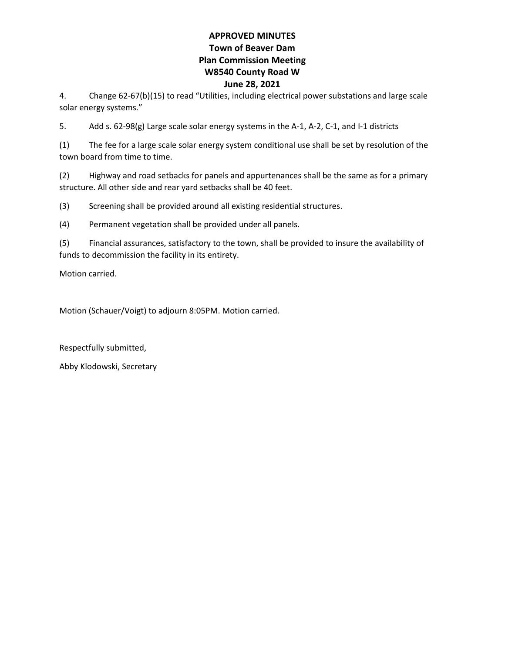#### **APPROVED MINUTES Town of Beaver Dam Plan Commission Meeting W8540 County Road W June 28, 2021**

4. Change 62-67(b)(15) to read "Utilities, including electrical power substations and large scale solar energy systems."

5. Add s. 62-98(g) Large scale solar energy systems in the A-1, A-2, C-1, and I-1 districts

(1) The fee for a large scale solar energy system conditional use shall be set by resolution of the town board from time to time.

(2) Highway and road setbacks for panels and appurtenances shall be the same as for a primary structure. All other side and rear yard setbacks shall be 40 feet.

(3) Screening shall be provided around all existing residential structures.

(4) Permanent vegetation shall be provided under all panels.

(5) Financial assurances, satisfactory to the town, shall be provided to insure the availability of funds to decommission the facility in its entirety.

Motion carried.

Motion (Schauer/Voigt) to adjourn 8:05PM. Motion carried.

Respectfully submitted,

Abby Klodowski, Secretary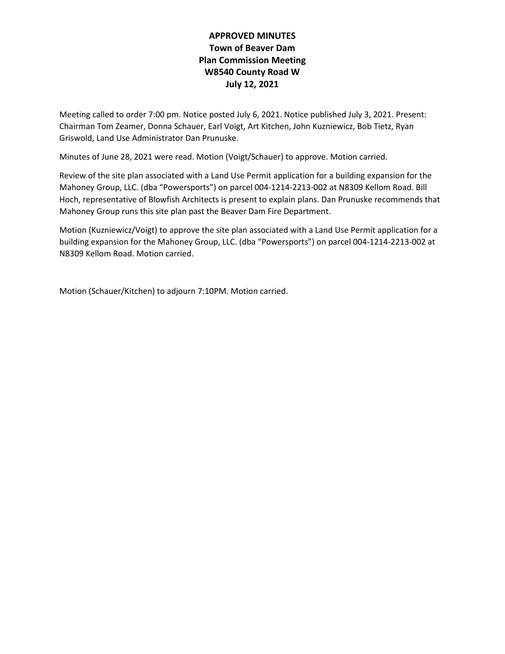## **APPROVED MINUTES Town of Beaver Dam Plan Commission Meeting W8540 County Road W July 12, 2021**

Meeting called to order 7:00 pm. Notice posted July 6, 2021. Notice published July 3, 2021. Present: Chairman Tom Zeamer, Donna Schauer, Earl Voigt, Art Kitchen, John Kuzniewicz, Bob Tietz, Ryan Griswold, Land Use Administrator Dan Prunuske.

Minutes of June 28, 2021 were read. Motion (Voigt/Schauer) to approve. Motion carried.

Review of the site plan associated with a Land Use Permit application for a building expansion for the Mahoney Group, LLC. (dba "Powersports") on parcel 004-1214-2213-002 at N8309 Kellom Road. Bill Hoch, representative of Blowfish Architects is present to explain plans. Dan Prunuske recommends that Mahoney Group runs this site plan past the Beaver Dam Fire Department.

Motion (Kuzniewicz/Voigt) to approve the site plan associated with a Land Use Permit application for a building expansion for the Mahoney Group, LLC. (dba "Powersports") on parcel 004-1214-2213-002 at N8309 Kellom Road. Motion carried.

Motion (Schauer/Kitchen) to adjourn 7:10PM. Motion carried.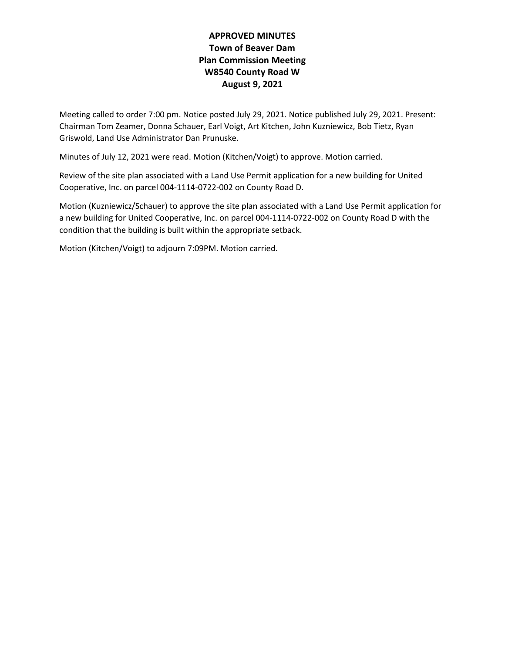## **APPROVED MINUTES Town of Beaver Dam Plan Commission Meeting W8540 County Road W August 9, 2021**

Meeting called to order 7:00 pm. Notice posted July 29, 2021. Notice published July 29, 2021. Present: Chairman Tom Zeamer, Donna Schauer, Earl Voigt, Art Kitchen, John Kuzniewicz, Bob Tietz, Ryan Griswold, Land Use Administrator Dan Prunuske.

Minutes of July 12, 2021 were read. Motion (Kitchen/Voigt) to approve. Motion carried.

Review of the site plan associated with a Land Use Permit application for a new building for United Cooperative, Inc. on parcel 004-1114-0722-002 on County Road D.

Motion (Kuzniewicz/Schauer) to approve the site plan associated with a Land Use Permit application for a new building for United Cooperative, Inc. on parcel 004-1114-0722-002 on County Road D with the condition that the building is built within the appropriate setback.

Motion (Kitchen/Voigt) to adjourn 7:09PM. Motion carried.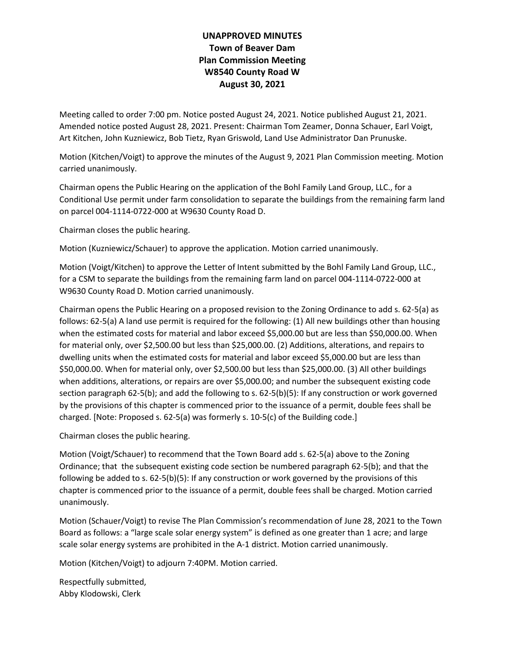## **UNAPPROVED MINUTES Town of Beaver Dam Plan Commission Meeting W8540 County Road W August 30, 2021**

Meeting called to order 7:00 pm. Notice posted August 24, 2021. Notice published August 21, 2021. Amended notice posted August 28, 2021. Present: Chairman Tom Zeamer, Donna Schauer, Earl Voigt, Art Kitchen, John Kuzniewicz, Bob Tietz, Ryan Griswold, Land Use Administrator Dan Prunuske.

Motion (Kitchen/Voigt) to approve the minutes of the August 9, 2021 Plan Commission meeting. Motion carried unanimously.

Chairman opens the Public Hearing on the application of the Bohl Family Land Group, LLC., for a Conditional Use permit under farm consolidation to separate the buildings from the remaining farm land on parcel 004-1114-0722-000 at W9630 County Road D.

Chairman closes the public hearing.

Motion (Kuzniewicz/Schauer) to approve the application. Motion carried unanimously.

Motion (Voigt/Kitchen) to approve the Letter of Intent submitted by the Bohl Family Land Group, LLC., for a CSM to separate the buildings from the remaining farm land on parcel 004-1114-0722-000 at W9630 County Road D. Motion carried unanimously.

Chairman opens the Public Hearing on a proposed revision to the Zoning Ordinance to add s. 62-5(a) as follows: 62-5(a) A land use permit is required for the following: (1) All new buildings other than housing when the estimated costs for material and labor exceed \$5,000.00 but are less than \$50,000.00. When for material only, over \$2,500.00 but less than \$25,000.00. (2) Additions, alterations, and repairs to dwelling units when the estimated costs for material and labor exceed \$5,000.00 but are less than \$50,000.00. When for material only, over \$2,500.00 but less than \$25,000.00. (3) All other buildings when additions, alterations, or repairs are over \$5,000.00; and number the subsequent existing code section paragraph 62-5(b); and add the following to s. 62-5(b)(5): If any construction or work governed by the provisions of this chapter is commenced prior to the issuance of a permit, double fees shall be charged. [Note: Proposed s. 62-5(a) was formerly s. 10-5(c) of the Building code.]

Chairman closes the public hearing.

Motion (Voigt/Schauer) to recommend that the Town Board add s. 62-5(a) above to the Zoning Ordinance; that the subsequent existing code section be numbered paragraph 62-5(b); and that the following be added to s. 62-5(b)(5): If any construction or work governed by the provisions of this chapter is commenced prior to the issuance of a permit, double fees shall be charged. Motion carried unanimously.

Motion (Schauer/Voigt) to revise The Plan Commission's recommendation of June 28, 2021 to the Town Board as follows: a "large scale solar energy system" is defined as one greater than 1 acre; and large scale solar energy systems are prohibited in the A-1 district. Motion carried unanimously.

Motion (Kitchen/Voigt) to adjourn 7:40PM. Motion carried.

Respectfully submitted, Abby Klodowski, Clerk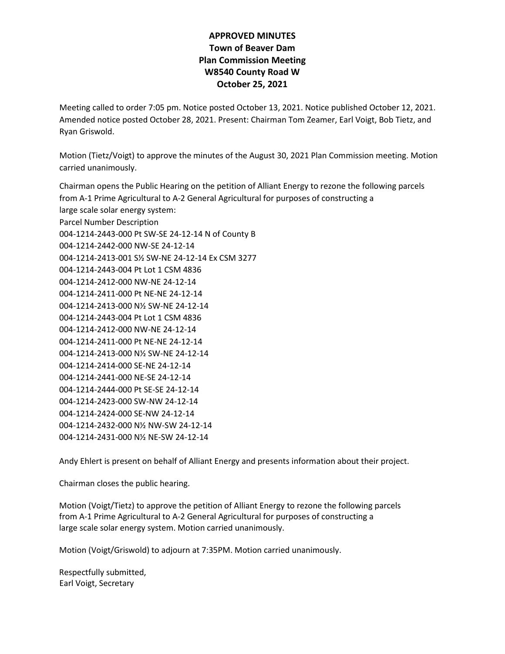## **APPROVED MINUTES Town of Beaver Dam Plan Commission Meeting W8540 County Road W October 25, 2021**

Meeting called to order 7:05 pm. Notice posted October 13, 2021. Notice published October 12, 2021. Amended notice posted October 28, 2021. Present: Chairman Tom Zeamer, Earl Voigt, Bob Tietz, and Ryan Griswold.

Motion (Tietz/Voigt) to approve the minutes of the August 30, 2021 Plan Commission meeting. Motion carried unanimously.

Chairman opens the Public Hearing on the petition of Alliant Energy to rezone the following parcels from A-1 Prime Agricultural to A-2 General Agricultural for purposes of constructing a large scale solar energy system: Parcel Number Description 004-1214-2443-000 Pt SW-SE 24-12-14 N of County B 004-1214-2442-000 NW-SE 24-12-14 004-1214-2413-001 S½ SW-NE 24-12-14 Ex CSM 3277 004-1214-2443-004 Pt Lot 1 CSM 4836 004-1214-2412-000 NW-NE 24-12-14 004-1214-2411-000 Pt NE-NE 24-12-14 004-1214-2413-000 N½ SW-NE 24-12-14 004-1214-2443-004 Pt Lot 1 CSM 4836 004-1214-2412-000 NW-NE 24-12-14 004-1214-2411-000 Pt NE-NE 24-12-14 004-1214-2413-000 N½ SW-NE 24-12-14 004-1214-2414-000 SE-NE 24-12-14 004-1214-2441-000 NE-SE 24-12-14 004-1214-2444-000 Pt SE-SE 24-12-14 004-1214-2423-000 SW-NW 24-12-14 004-1214-2424-000 SE-NW 24-12-14 004-1214-2432-000 N½ NW-SW 24-12-14

004-1214-2431-000 N½ NE-SW 24-12-14

Andy Ehlert is present on behalf of Alliant Energy and presents information about their project.

Chairman closes the public hearing.

Motion (Voigt/Tietz) to approve the petition of Alliant Energy to rezone the following parcels from A-1 Prime Agricultural to A-2 General Agricultural for purposes of constructing a large scale solar energy system. Motion carried unanimously.

Motion (Voigt/Griswold) to adjourn at 7:35PM. Motion carried unanimously.

Respectfully submitted, Earl Voigt, Secretary